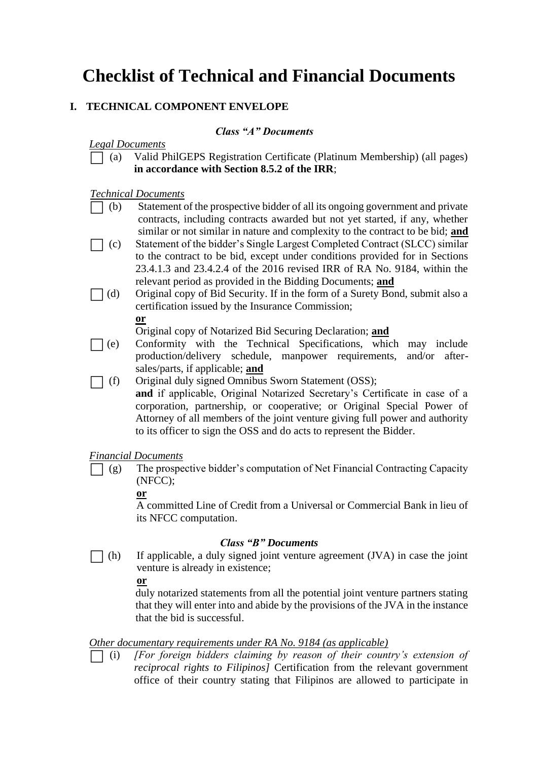# **Checklist of Technical and Financial Documents**

## **I. TECHNICAL COMPONENT ENVELOPE**

## *Class "A" Documents*

#### *Legal Documents*

⬜ (a) Valid PhilGEPS Registration Certificate (Platinum Membership) (all pages) **in accordance with Section 8.5.2 of the IRR**;

### *Technical Documents*

- ⬜ (b) Statement of the prospective bidder of all its ongoing government and private contracts, including contracts awarded but not yet started, if any, whether similar or not similar in nature and complexity to the contract to be bid; **and**
- ⬜ (c) Statement of the bidder's Single Largest Completed Contract (SLCC) similar to the contract to be bid, except under conditions provided for in Sections 23.4.1.3 and 23.4.2.4 of the 2016 revised IRR of RA No. 9184, within the relevant period as provided in the Bidding Documents; **and**
- ⬜ (d) Original copy of Bid Security. If in the form of a Surety Bond, submit also a certification issued by the Insurance Commission;

**or**

Original copy of Notarized Bid Securing Declaration; **and**

- ⬜ (e) Conformity with the Technical Specifications, which may include production/delivery schedule, manpower requirements, and/or aftersales/parts, if applicable; **and**
- ⬜ (f) Original duly signed Omnibus Sworn Statement (OSS);

**and** if applicable, Original Notarized Secretary's Certificate in case of a corporation, partnership, or cooperative; or Original Special Power of Attorney of all members of the joint venture giving full power and authority to its officer to sign the OSS and do acts to represent the Bidder.

#### *Financial Documents*

 $\Box$  (g) The prospective bidder's computation of Net Financial Contracting Capacity (NFCC);

#### **or**

A committed Line of Credit from a Universal or Commercial Bank in lieu of its NFCC computation.

#### *Class "B" Documents*

 $\Box$  (h) If applicable, a duly signed joint venture agreement (JVA) in case the joint venture is already in existence;

#### **or**

duly notarized statements from all the potential joint venture partners stating that they will enter into and abide by the provisions of the JVA in the instance that the bid is successful.

## *Other documentary requirements under RA No. 9184 (as applicable)*

⬜ (i) *[For foreign bidders claiming by reason of their country's extension of reciprocal rights to Filipinos]* Certification from the relevant government office of their country stating that Filipinos are allowed to participate in